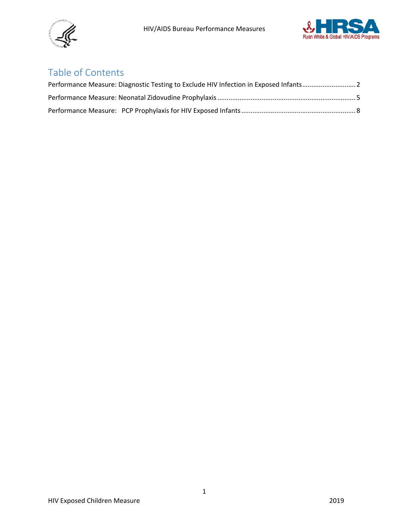



# Table of Contents

<span id="page-0-0"></span>

| Performance Measure: Diagnostic Testing to Exclude HIV Infection in Exposed Infants2 |  |
|--------------------------------------------------------------------------------------|--|
|                                                                                      |  |
|                                                                                      |  |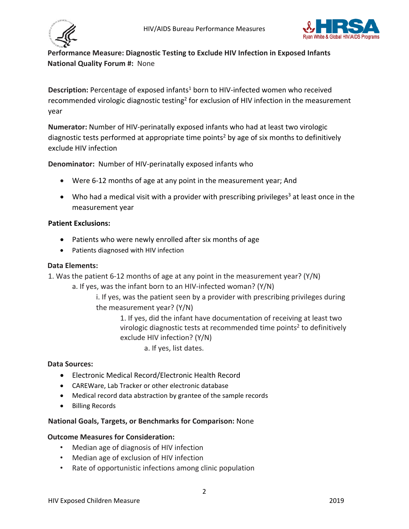



# **Performance Measure: Diagnostic Testing to Exclude HIV Infection in Exposed Infants National Quality Forum #:** None

Description: Percentage of exposed infants<sup>1</sup> born to HIV-infected women who received recommended virologic diagnostic testing<sup>2</sup> for exclusion of HIV infection in the measurement year

**Numerator:** Number of HIV-perinatally exposed infants who had at least two virologic diagnostic tests performed at appropriate time points<sup>2</sup> by age of six months to definitively exclude HIV infection

**Denominator:** Number of HIV-perinatally exposed infants who

- Were 6-12 months of age at any point in the measurement year; And
- Who had a medical visit with a provider with prescribing privileges<sup>3</sup> at least once in the measurement year

#### **Patient Exclusions:**

- Patients who were newly enrolled after six months of age
- Patients diagnosed with HIV infection

#### **Data Elements:**

1. Was the patient 6-12 months of age at any point in the measurement year? (Y/N)

a. If yes, was the infant born to an HIV-infected woman? (Y/N)

i. If yes, was the patient seen by a provider with prescribing privileges during the measurement year? (Y/N)

> 1. If yes, did the infant have documentation of receiving at least two virologic diagnostic tests at recommended time points<sup>2</sup> to definitively exclude HIV infection? (Y/N)

> > a. If yes, list dates.

#### **Data Sources:**

- Electronic Medical Record/Electronic Health Record
- CAREWare, Lab Tracker or other electronic database
- Medical record data abstraction by grantee of the sample records
- Billing Records

#### **National Goals, Targets, or Benchmarks for Comparison:** None

#### **Outcome Measures for Consideration:**

- Median age of diagnosis of HIV infection
- Median age of exclusion of HIV infection
- Rate of opportunistic infections among clinic population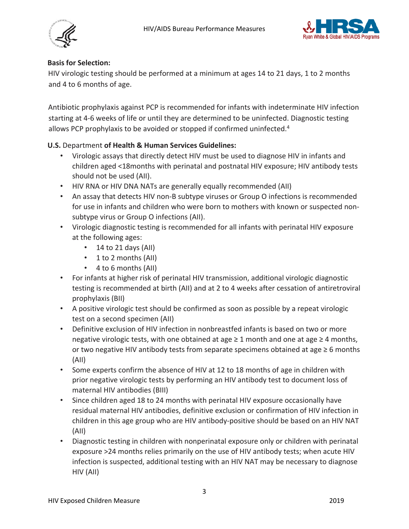



#### **Basis for Selection:**

HIV virologic testing should be performed at a minimum at ages 14 to 21 days, 1 to 2 months and 4 to 6 months of age.

Antibiotic prophylaxis against PCP is recommended for infants with indeterminate HIV infection starting at 4-6 weeks of life or until they are determined to be uninfected. Diagnostic testing allows PCP prophylaxis to be avoided or stopped if confirmed uninfected.<sup>4</sup>

# **U.S.** Department **of Health & Human Services Guidelines:**

- Virologic assays that directly detect HIV must be used to diagnose HIV in infants and children aged <18months with perinatal and postnatal HIV exposure; HIV antibody tests should not be used (AII).
- HIV RNA or HIV DNA NATs are generally equally recommended (AII)
- An assay that detects HIV non-B subtype viruses or Group O infections is recommended for use in infants and children who were born to mothers with known or suspected nonsubtype virus or Group O infections (AII).
- Virologic diagnostic testing is recommended for all infants with perinatal HIV exposure at the following ages:
	- 14 to 21 days (AII)
	- 1 to 2 months (AII)
	- 4 to 6 months (AII)
- For infants at higher risk of perinatal HIV transmission, additional virologic diagnostic testing is recommended at birth (AII) and at 2 to 4 weeks after cessation of antiretroviral prophylaxis (BII)
- A positive virologic test should be confirmed as soon as possible by a repeat virologic test on a second specimen (AII)
- Definitive exclusion of HIV infection in nonbreastfed infants is based on two or more negative virologic tests, with one obtained at age  $\geq 1$  month and one at age  $\geq 4$  months, or two negative HIV antibody tests from separate specimens obtained at age  $\geq 6$  months (AII)
- Some experts confirm the absence of HIV at 12 to 18 months of age in children with prior negative virologic tests by performing an HIV antibody test to document loss of maternal HIV antibodies (BIII)
- Since children aged 18 to 24 months with perinatal HIV exposure occasionally have residual maternal HIV antibodies, definitive exclusion or confirmation of HIV infection in children in this age group who are HIV antibody-positive should be based on an HIV NAT (AII)
- Diagnostic testing in children with nonperinatal exposure only or children with perinatal exposure >24 months relies primarily on the use of HIV antibody tests; when acute HIV infection is suspected, additional testing with an HIV NAT may be necessary to diagnose HIV (AII)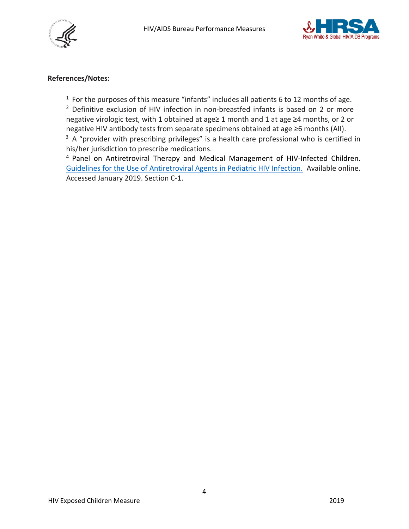



#### **References/Notes:**

 $1$  For the purposes of this measure "infants" includes all patients 6 to 12 months of age.

<sup>2</sup> Definitive exclusion of HIV infection in non-breastfed infants is based on 2 or more negative virologic test, with 1 obtained at age≥ 1 month and 1 at age ≥4 months, or 2 or negative HIV antibody tests from separate specimens obtained at age ≥6 months (AII).

 $3$  A "provider with prescribing privileges" is a health care professional who is certified in his/her jurisdiction to prescribe medications.

<sup>4</sup> Panel on Antiretroviral Therapy and Medical Management of HIV-Infected Children. [Guidelines for the](https://aidsinfo.nih.gov/contentfiles/lvguidelines/PediatricGuidelines.pdf) [Use of Antiretroviral Agents in Pediatric HIV Infection.](https://aidsinfo.nih.gov/contentfiles/lvguidelines/PediatricGuidelines.pdf) Available online. Accessed January 2019. Section C-1.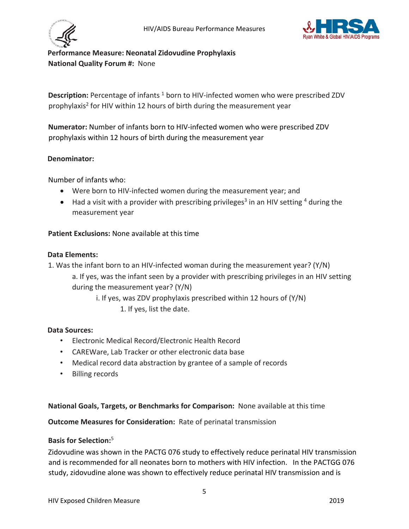



# <span id="page-4-0"></span>**Performance Measure: Neonatal Zidovudine Prophylaxis National Quality Forum #:** None

**Description:** Percentage of infants<sup>1</sup> born to HIV-infected women who were prescribed ZDV prophylaxis<sup>2</sup> for HIV within 12 hours of birth during the measurement year

**Numerator:** Number of infants born to HIV-infected women who were prescribed ZDV prophylaxis within 12 hours of birth during the measurement year

## **Denominator:**

Number of infants who:

- Were born to HIV-infected women during the measurement year; and
- Had a visit with a provider with prescribing privileges<sup>3</sup> in an HIV setting  $4$  during the measurement year

#### **Patient Exclusions:** None available at this time

#### **Data Elements:**

1. Was the infant born to an HIV-infected woman during the measurement year? (Y/N) a. If yes, was the infant seen by a provider with prescribing privileges in an HIV setting during the measurement year? (Y/N)

i. If yes, was ZDV prophylaxis prescribed within 12 hours of (Y/N)

1. If yes, list the date.

#### **Data Sources:**

- Electronic Medical Record/Electronic Health Record
- CAREWare, Lab Tracker or other electronic data base
- Medical record data abstraction by grantee of a sample of records
- Billing records

**National Goals, Targets, or Benchmarks for Comparison:** None available at this time

**Outcome Measures for Consideration:** Rate of perinatal transmission

#### **Basis for Selection:** <sup>5</sup>

Zidovudine was shown in the PACTG 076 study to effectively reduce perinatal HIV transmission and is recommended for all neonates born to mothers with HIV infection. In the PACTGG 076 study, zidovudine alone was shown to effectively reduce perinatal HIV transmission and is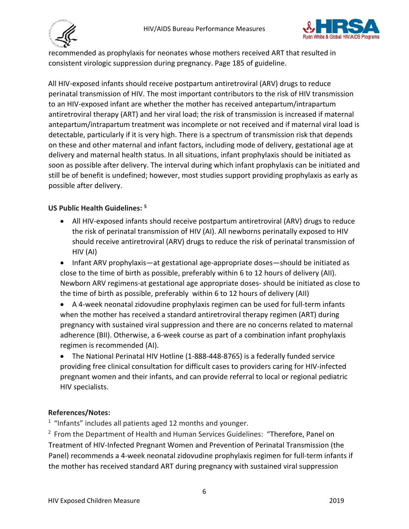



recommended as prophylaxis for neonates whose mothers received ART that resulted in consistent virologic suppression during pregnancy. Page 185 of guideline.

All HIV-exposed infants should receive postpartum antiretroviral (ARV) drugs to reduce perinatal transmission of HIV. The most important contributors to the risk of HIV transmission to an HIV-exposed infant are whether the mother has received antepartum/intrapartum antiretroviral therapy (ART) and her viral load; the risk of transmission is increased if maternal antepartum/intrapartum treatment was incomplete or not received and if maternal viral load is detectable, particularly if it is very high. There is a spectrum of transmission risk that depends on these and other maternal and infant factors, including mode of delivery, gestational age at delivery and maternal health status. In all situations, infant prophylaxis should be initiated as soon as possible after delivery. The interval during which infant prophylaxis can be initiated and still be of benefit is undefined; however, most studies support providing prophylaxis as early as possible after delivery.

# **US Public Health Guidelines: <sup>5</sup>**

- All HIV-exposed infants should receive postpartum antiretroviral (ARV) drugs to reduce the risk of perinatal transmission of HIV (AI). All newborns perinatally exposed to HIV should receive antiretroviral (ARV) drugs to reduce the risk of perinatal transmission of HIV (AI)
- Infant ARV prophylaxis—at gestational age-appropriate doses—should be initiated as close to the time of birth as possible, preferably within 6 to 12 hours of delivery (AII). Newborn ARV regimens-at gestational age appropriate doses- should be initiated as close to the time of birth as possible, preferably within 6 to 12 hours of delivery (AII)
- A 4-week neonatal zidovudine prophylaxis regimen can be used for full-term infants when the mother has received a standard antiretroviral therapy regimen (ART) during pregnancy with sustained viral suppression and there are no concerns related to maternal adherence (BII). Otherwise, a 6-week course as part of a combination infant prophylaxis regimen is recommended (AI).
- The National Perinatal HIV Hotline (1-888-448-8765) is a federally funded service providing free clinical consultation for difficult cases to providers caring for HIV-infected pregnant women and their infants, and can provide referral to local or regional pediatric HIV specialists.

# **References/Notes:**

 $1$  "Infants" includes all patients aged 12 months and younger.

 $<sup>2</sup>$  From the Department of Health and Human Services Guidelines: "Therefore, Panel on</sup> Treatment of HIV-Infected Pregnant Women and Prevention of Perinatal Transmission (the Panel) recommends a 4-week neonatal zidovudine prophylaxis regimen for full-term infants if the mother has received standard ART during pregnancy with sustained viral suppression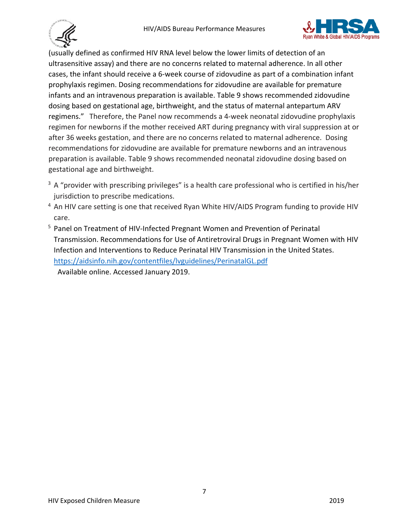



(usually defined as confirmed HIV RNA level below the lower limits of detection of an ultrasensitive assay) and there are no concerns related to maternal adherence. In all other cases, the infant should receive a 6-week course of zidovudine as part of a combination infant prophylaxis regimen. Dosing recommendations for zidovudine are available for premature infants and an intravenous preparation is available. Table 9 shows recommended zidovudine dosing based on gestational age, birthweight, and the status of maternal antepartum ARV regimens." Therefore, the Panel now recommends a 4-week neonatal zidovudine prophylaxis regimen for newborns if the mother received ART during pregnancy with viral suppression at or after 36 weeks gestation, and there are no concerns related to maternal adherence. Dosing recommendations for zidovudine are available for premature newborns and an intravenous preparation is available. Table 9 shows recommended neonatal zidovudine dosing based on gestational age and birthweight.

- $3$  A "provider with prescribing privileges" is a health care professional who is certified in his/her jurisdiction to prescribe medications.
- <sup>4</sup> An HIV care setting is one that received Ryan White HIV/AIDS Program funding to provide HIV care.
- <sup>5</sup> Panel on Treatment of HIV-Infected Pregnant Women and Prevention of Perinatal Transmission. Recommendations for Use of Antiretroviral Drugs in Pregnant Women with HIV Infection and Interventions to Reduce Perinatal HIV Transmission in the United States. <https://aidsinfo.nih.gov/contentfiles/lvguidelines/PerinatalGL.pdf>

Available online. Accessed January 2019.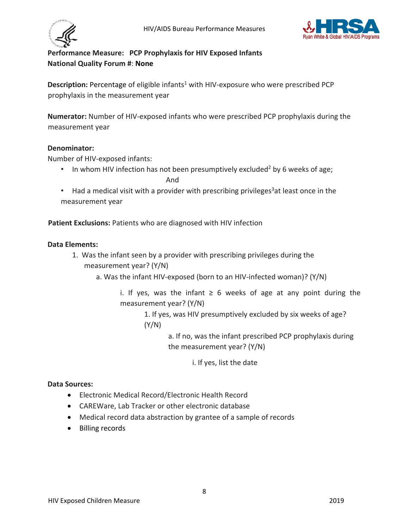



# <span id="page-7-0"></span>**Performance Measure: PCP Prophylaxis for HIV Exposed Infants National Quality Forum #**: **None**

**Description:** Percentage of eligible infants<sup>1</sup> with HIV-exposure who were prescribed PCP prophylaxis in the measurement year

**Numerator:** Number of HIV-exposed infants who were prescribed PCP prophylaxis during the measurement year

## **Denominator:**

Number of HIV-exposed infants:

- In whom HIV infection has not been presumptively excluded<sup>2</sup> by 6 weeks of age; **And And**
- Had a medical visit with a provider with prescribing privileges<sup>3</sup>at least once in the measurement year

**Patient Exclusions:** Patients who are diagnosed with HIV infection

#### **Data Elements:**

- 1. Was the infant seen by a provider with prescribing privileges during the measurement year? (Y/N)
	- a. Was the infant HIV-exposed (born to an HIV-infected woman)? (Y/N)
		- i. If yes, was the infant ≥ 6 weeks of age at any point during the measurement year? (Y/N)

1. If yes, was HIV presumptively excluded by six weeks of age? (Y/N)

> a. If no, was the infant prescribed PCP prophylaxis during the measurement year? (Y/N)

> > i. If yes, list the date

#### **Data Sources:**

- Electronic Medical Record/Electronic Health Record
- CAREWare, Lab Tracker or other electronic database
- Medical record data abstraction by grantee of a sample of records
- Billing records